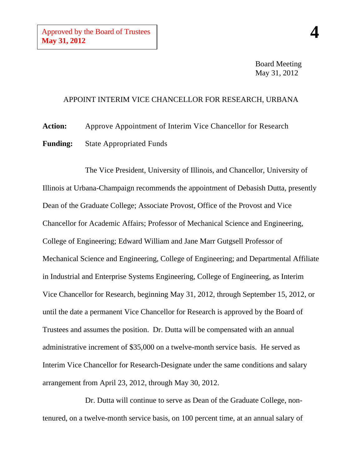Board Meeting May 31, 2012

## APPOINT INTERIM VICE CHANCELLOR FOR RESEARCH, URBANA

**Action:** Approve Appointment of Interim Vice Chancellor for Research **Funding:** State Appropriated Funds

The Vice President, University of Illinois, and Chancellor, University of Illinois at Urbana-Champaign recommends the appointment of Debasish Dutta, presently Dean of the Graduate College; Associate Provost, Office of the Provost and Vice Chancellor for Academic Affairs; Professor of Mechanical Science and Engineering, College of Engineering; Edward William and Jane Marr Gutgsell Professor of Mechanical Science and Engineering, College of Engineering; and Departmental Affiliate in Industrial and Enterprise Systems Engineering, College of Engineering, as Interim Vice Chancellor for Research, beginning May 31, 2012, through September 15, 2012, or until the date a permanent Vice Chancellor for Research is approved by the Board of Trustees and assumes the position. Dr. Dutta will be compensated with an annual administrative increment of \$35,000 on a twelve-month service basis. He served as Interim Vice Chancellor for Research-Designate under the same conditions and salary arrangement from April 23, 2012, through May 30, 2012.

Dr. Dutta will continue to serve as Dean of the Graduate College, nontenured, on a twelve-month service basis, on 100 percent time, at an annual salary of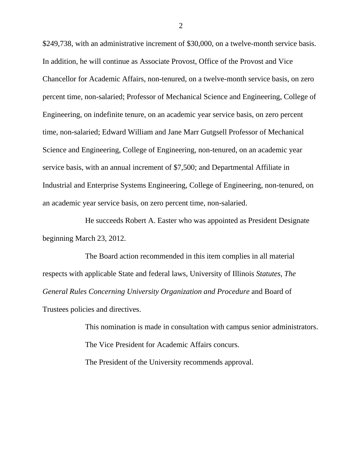\$249,738, with an administrative increment of \$30,000, on a twelve-month service basis. In addition, he will continue as Associate Provost, Office of the Provost and Vice Chancellor for Academic Affairs, non-tenured, on a twelve-month service basis, on zero percent time, non-salaried; Professor of Mechanical Science and Engineering, College of Engineering, on indefinite tenure, on an academic year service basis, on zero percent time, non-salaried; Edward William and Jane Marr Gutgsell Professor of Mechanical Science and Engineering, College of Engineering, non-tenured, on an academic year service basis, with an annual increment of \$7,500; and Departmental Affiliate in Industrial and Enterprise Systems Engineering, College of Engineering, non-tenured, on an academic year service basis, on zero percent time, non-salaried.

He succeeds Robert A. Easter who was appointed as President Designate beginning March 23, 2012.

The Board action recommended in this item complies in all material respects with applicable State and federal laws, University of Illinois *Statutes*, *The General Rules Concerning University Organization and Procedure* and Board of Trustees policies and directives.

> This nomination is made in consultation with campus senior administrators. The Vice President for Academic Affairs concurs. The President of the University recommends approval.

2